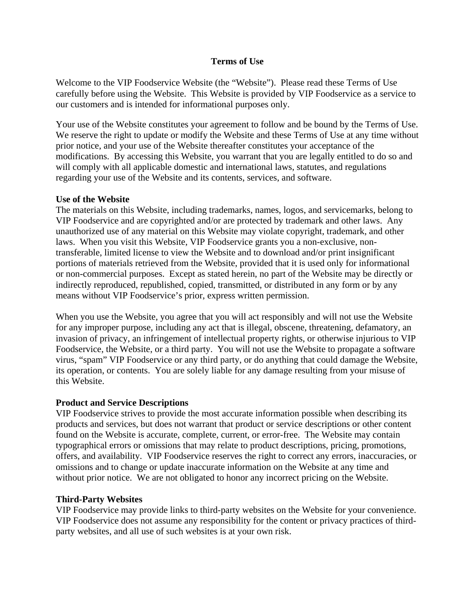### **Terms of Use**

Welcome to the VIP Foodservice Website (the "Website"). Please read these Terms of Use carefully before using the Website. This Website is provided by VIP Foodservice as a service to our customers and is intended for informational purposes only.

Your use of the Website constitutes your agreement to follow and be bound by the Terms of Use. We reserve the right to update or modify the Website and these Terms of Use at any time without prior notice, and your use of the Website thereafter constitutes your acceptance of the modifications. By accessing this Website, you warrant that you are legally entitled to do so and will comply with all applicable domestic and international laws, statutes, and regulations regarding your use of the Website and its contents, services, and software.

#### **Use of the Website**

The materials on this Website, including trademarks, names, logos, and servicemarks, belong to VIP Foodservice and are copyrighted and/or are protected by trademark and other laws. Any unauthorized use of any material on this Website may violate copyright, trademark, and other laws. When you visit this Website, VIP Foodservice grants you a non-exclusive, nontransferable, limited license to view the Website and to download and/or print insignificant portions of materials retrieved from the Website, provided that it is used only for informational or non-commercial purposes. Except as stated herein, no part of the Website may be directly or indirectly reproduced, republished, copied, transmitted, or distributed in any form or by any means without VIP Foodservice's prior, express written permission.

When you use the Website, you agree that you will act responsibly and will not use the Website for any improper purpose, including any act that is illegal, obscene, threatening, defamatory, an invasion of privacy, an infringement of intellectual property rights, or otherwise injurious to VIP Foodservice, the Website, or a third party. You will not use the Website to propagate a software virus, "spam" VIP Foodservice or any third party, or do anything that could damage the Website, its operation, or contents. You are solely liable for any damage resulting from your misuse of this Website.

### **Product and Service Descriptions**

VIP Foodservice strives to provide the most accurate information possible when describing its products and services, but does not warrant that product or service descriptions or other content found on the Website is accurate, complete, current, or error-free. The Website may contain typographical errors or omissions that may relate to product descriptions, pricing, promotions, offers, and availability. VIP Foodservice reserves the right to correct any errors, inaccuracies, or omissions and to change or update inaccurate information on the Website at any time and without prior notice. We are not obligated to honor any incorrect pricing on the Website.

### **Third-Party Websites**

VIP Foodservice may provide links to third-party websites on the Website for your convenience. VIP Foodservice does not assume any responsibility for the content or privacy practices of thirdparty websites, and all use of such websites is at your own risk.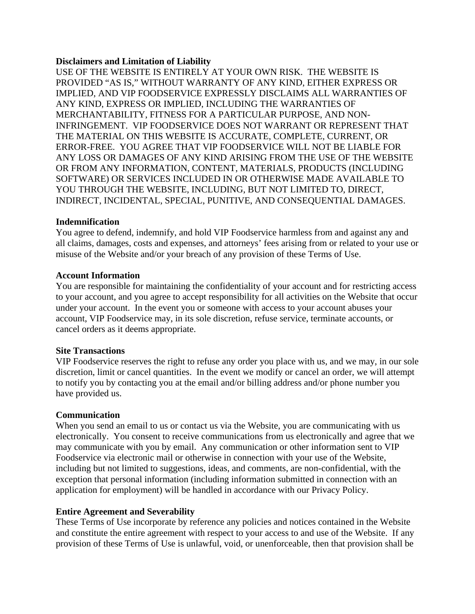### **Disclaimers and Limitation of Liability**

USE OF THE WEBSITE IS ENTIRELY AT YOUR OWN RISK. THE WEBSITE IS PROVIDED "AS IS," WITHOUT WARRANTY OF ANY KIND, EITHER EXPRESS OR IMPLIED, AND VIP FOODSERVICE EXPRESSLY DISCLAIMS ALL WARRANTIES OF ANY KIND, EXPRESS OR IMPLIED, INCLUDING THE WARRANTIES OF MERCHANTABILITY, FITNESS FOR A PARTICULAR PURPOSE, AND NON-INFRINGEMENT. VIP FOODSERVICE DOES NOT WARRANT OR REPRESENT THAT THE MATERIAL ON THIS WEBSITE IS ACCURATE, COMPLETE, CURRENT, OR ERROR-FREE. YOU AGREE THAT VIP FOODSERVICE WILL NOT BE LIABLE FOR ANY LOSS OR DAMAGES OF ANY KIND ARISING FROM THE USE OF THE WEBSITE OR FROM ANY INFORMATION, CONTENT, MATERIALS, PRODUCTS (INCLUDING SOFTWARE) OR SERVICES INCLUDED IN OR OTHERWISE MADE AVAILABLE TO YOU THROUGH THE WEBSITE, INCLUDING, BUT NOT LIMITED TO, DIRECT, INDIRECT, INCIDENTAL, SPECIAL, PUNITIVE, AND CONSEQUENTIAL DAMAGES.

### **Indemnification**

You agree to defend, indemnify, and hold VIP Foodservice harmless from and against any and all claims, damages, costs and expenses, and attorneys' fees arising from or related to your use or misuse of the Website and/or your breach of any provision of these Terms of Use.

#### **Account Information**

You are responsible for maintaining the confidentiality of your account and for restricting access to your account, and you agree to accept responsibility for all activities on the Website that occur under your account. In the event you or someone with access to your account abuses your account, VIP Foodservice may, in its sole discretion, refuse service, terminate accounts, or cancel orders as it deems appropriate.

### **Site Transactions**

VIP Foodservice reserves the right to refuse any order you place with us, and we may, in our sole discretion, limit or cancel quantities. In the event we modify or cancel an order, we will attempt to notify you by contacting you at the email and/or billing address and/or phone number you have provided us.

### **Communication**

When you send an email to us or contact us via the Website, you are communicating with us electronically. You consent to receive communications from us electronically and agree that we may communicate with you by email. Any communication or other information sent to VIP Foodservice via electronic mail or otherwise in connection with your use of the Website, including but not limited to suggestions, ideas, and comments, are non-confidential, with the exception that personal information (including information submitted in connection with an application for employment) will be handled in accordance with our Privacy Policy.

### **Entire Agreement and Severability**

These Terms of Use incorporate by reference any policies and notices contained in the Website and constitute the entire agreement with respect to your access to and use of the Website. If any provision of these Terms of Use is unlawful, void, or unenforceable, then that provision shall be